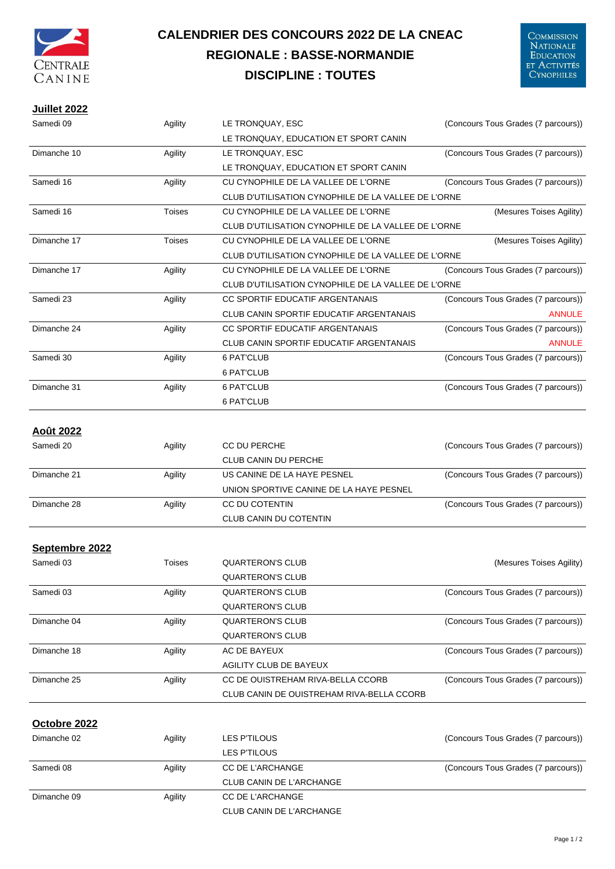

## **CALENDRIER DES CONCOURS 2022 DE LA CNEAC REGIONALE : BASSE-NORMANDIE DISCIPLINE : TOUTES**

## **Juillet 2022**

| Samedi 09        | Agility | LE TRONQUAY, ESC                                    | (Concours Tous Grades (7 parcours)) |
|------------------|---------|-----------------------------------------------------|-------------------------------------|
|                  |         | LE TRONQUAY, EDUCATION ET SPORT CANIN               |                                     |
| Dimanche 10      | Agility | LE TRONQUAY, ESC                                    | (Concours Tous Grades (7 parcours)) |
|                  |         | LE TRONQUAY, EDUCATION ET SPORT CANIN               |                                     |
| Samedi 16        | Agility | CU CYNOPHILE DE LA VALLEE DE L'ORNE                 | (Concours Tous Grades (7 parcours)) |
|                  |         | CLUB D'UTILISATION CYNOPHILE DE LA VALLEE DE L'ORNE |                                     |
| Samedi 16        | Toises  | CU CYNOPHILE DE LA VALLEE DE L'ORNE                 | (Mesures Toises Agility)            |
|                  |         | CLUB D'UTILISATION CYNOPHILE DE LA VALLEE DE L'ORNE |                                     |
| Dimanche 17      | Toises  | CU CYNOPHILE DE LA VALLEE DE L'ORNE                 | (Mesures Toises Agility)            |
|                  |         | CLUB D'UTILISATION CYNOPHILE DE LA VALLEE DE L'ORNE |                                     |
| Dimanche 17      | Agility | CU CYNOPHILE DE LA VALLEE DE L'ORNE                 | (Concours Tous Grades (7 parcours)) |
|                  |         | CLUB D'UTILISATION CYNOPHILE DE LA VALLEE DE L'ORNE |                                     |
| Samedi 23        | Agility | CC SPORTIF EDUCATIF ARGENTANAIS                     | (Concours Tous Grades (7 parcours)) |
|                  |         | CLUB CANIN SPORTIF EDUCATIF ARGENTANAIS             | <b>ANNULE</b>                       |
| Dimanche 24      | Agility | CC SPORTIF EDUCATIF ARGENTANAIS                     | (Concours Tous Grades (7 parcours)) |
|                  |         | <b>CLUB CANIN SPORTIF EDUCATIF ARGENTANAIS</b>      | <b>ANNULE</b>                       |
| Samedi 30        | Agility | 6 PAT'CLUB                                          | (Concours Tous Grades (7 parcours)) |
|                  |         | <b>6 PAT'CLUB</b>                                   |                                     |
| Dimanche 31      | Agility | 6 PAT'CLUB                                          | (Concours Tous Grades (7 parcours)) |
|                  |         | 6 PAT'CLUB                                          |                                     |
|                  |         |                                                     |                                     |
| <u>Août 2022</u> |         |                                                     |                                     |
| Samedi 20        | Agility | <b>CC DU PERCHE</b>                                 | (Concours Tous Grades (7 parcours)) |
|                  |         | <b>CLUB CANIN DU PERCHE</b>                         |                                     |
| Dimanche 21      | Agility | US CANINE DE LA HAYE PESNEL                         | (Concours Tous Grades (7 parcours)) |
|                  |         | UNION SPORTIVE CANINE DE LA HAYE PESNEL             |                                     |
| Dimanche 28      | Agility | CC DU COTENTIN                                      | (Concours Tous Grades (7 parcours)) |
|                  |         | <b>CLUB CANIN DU COTENTIN</b>                       |                                     |
|                  |         |                                                     |                                     |
| Septembre 2022   |         |                                                     |                                     |
| Samedi 03        | Toises  | <b>QUARTERON'S CLUB</b>                             | (Mesures Toises Agility)            |
|                  |         | <b>QUARTERON'S CLUB</b>                             |                                     |
| Samedi 03        | Agility | <b>QUARTERON'S CLUB</b>                             | (Concours Tous Grades (7 parcours)) |
|                  |         | <b>QUARTERON'S CLUB</b>                             |                                     |
| Dimanche 04      | Agility | <b>QUARTERON'S CLUB</b>                             | (Concours Tous Grades (7 parcours)) |
|                  |         | <b>QUARTERON'S CLUB</b>                             |                                     |
| Dimanche 18      | Agility | AC DE BAYEUX                                        | (Concours Tous Grades (7 parcours)) |
|                  |         | AGILITY CLUB DE BAYEUX                              |                                     |
| Dimanche 25      | Agility | CC DE OUISTREHAM RIVA-BELLA CCORB                   | (Concours Tous Grades (7 parcours)) |
|                  |         | CLUB CANIN DE OUISTREHAM RIVA-BELLA CCORB           |                                     |
|                  |         |                                                     |                                     |
| Octobre 2022     |         |                                                     |                                     |
| Dimanche 02      | Agility | <b>LES P'TILOUS</b>                                 | (Concours Tous Grades (7 parcours)) |
|                  |         | <b>LES P'TILOUS</b>                                 |                                     |
| Samedi 08        | Agility | CC DE L'ARCHANGE                                    | (Concours Tous Grades (7 parcours)) |
|                  |         | CLUB CANIN DE L'ARCHANGE                            |                                     |
| Dimanche 09      | Agility | <b>CC DE L'ARCHANGE</b>                             |                                     |
|                  |         | <b>CLUB CANIN DE L'ARCHANGE</b>                     |                                     |